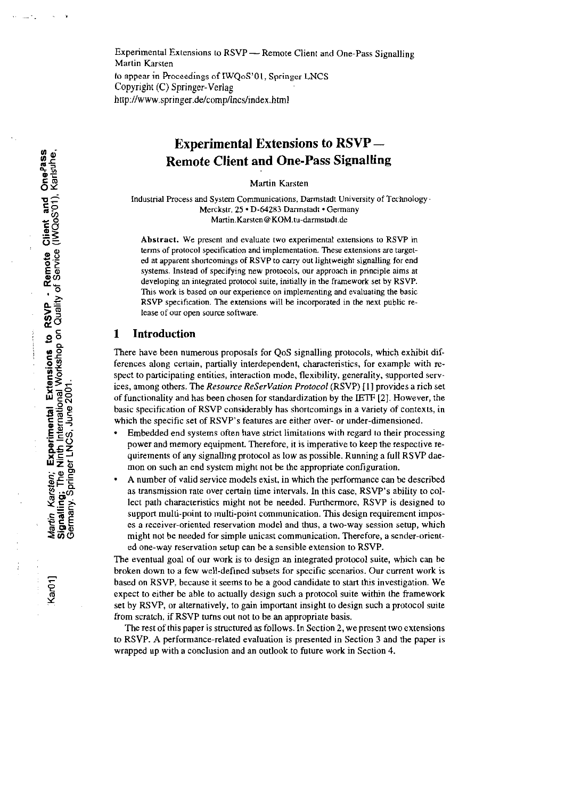Experimental Extensions to RSVP - Remote Client and One-Pass Signalling Martin Karsten to **appear** in Proceedings of IWQoS'O1, Springer LNCS Copyright (C) Springer-Verlag **hitp://www.springer.de/comp/lncs/index.html** 

# **Experimental Extensions to RSVP** – **Remote Client and One-Pass Signalüng**

Martin Karsten

Industrial Process and System Communications, Darmstadt University of Technology<br>Merckstr. 25 • D-64283 Darmstadt • Germany **Martin.Karsten@KOM.tu-darmstadi.de** 

Abstract. We present and evaluate two experimental extensions to RSVP in terms of protocol specification and implementation. These extensions are targeted at apparent shortcomings of RSVP to carry out lightweight signalling for end<br>systems. Instead of specifying new protocols, our approach in principle aims at developing an integrated protocol suite, initially in the framework set by RSVP. This work is based on our experience on implementing and evaluating the basic RSVP specification. The extensions will be incorporated in the next public re-<br>*Iease* of our open source software.

# $\overline{Q}$   $\overline{S}$  **1** Introduction

There have been numerous proposals for OoS signalling protocols, which exhibit differences along certain, partially interdependent, characteristics, for example with respect to participating entities, interaction mode, flexibility, generality, supported serv-**33** ices, among others. The *Resource ReSerVation Protocol* (RSVP) [I] provides a rich set **3::** of functionality and has been chosen for standardization by the IETF **[2].** However, the **amc** basic specification of RSVP considerably has shortcomings in a variety of contexts, in which the specific set of RSVP's features are either over- or under-dimensioned.

- Embedded end systems often have strict limitations with regard to their processing power and memory equipment. Therefore, it is imperative to keep the respective requirements of any signalling protocol as low as possible. Running a full RSVP dae-<br>mon on such an end system might not be the appropriate configuration. **uZ&** mon on such an end system might not be the appropriate configuration. **52 .G**
- $\sum_{n=1}^{\infty} \frac{1}{n}$  **h h h**  $\sum_{n=1}^{\infty}$  **h h**  $\sum_{n=1}^{\infty}$  **h**  $\sum_{n=1}^{\infty} \frac{1}{n}$  **h**  $\sum_{n=1}^{\infty} \frac{1}{n}$  **h**  $\sum_{n=1}^{\infty} \frac{1}{n}$  **h**  $\sum_{n=1}^{\infty} \frac{1}{n}$  **h**  $\sum_{n=1}^{\infty} \frac{1}{n}$  **h**  $\sum_{n=1}^{\infty} \frac$ as transmission rate over certain time intervals. In this case, RSVP's ability to collect path characteristics might not be needed. Furthermore, RSVP is designed to **.E 5 E** support multi-point to multi-point communication. This design requirement impos**es a receiver-oriented reservation model and thus, a two-way session setup, which** might not be needed for simple unicast communication. Therefore, a sender-onented one-way reservation setup can be asensible extension to RSVP.

The eventual goal of our work is to design an integrated protocol suite, which can be broken down to a few well-defined subsets for specific scenarios. Our current work is based on RSVP, because it seems to be a good candi based on RSVP, because it seems to be a good candidate to start this investigation. We<br>expect to either be able to actually design such a protocol suite within the framework<br>we have been also provided to the start this inv expect to either be able to actually design such a protocol suite within the framework set by RSVP, or alternatively. to gain important insight to design such aprotocol suite from scratch, if RSVP turns out not to **be** an appropriate basis.

> The rest of thispaper is stmctured **as** follows. In Section 2, wepresent twoextensions to RSVP. A performance-related evaluation is presented in Section 3 and the paper is wrapped up with a concIusion and an outlook to future work in Section 4.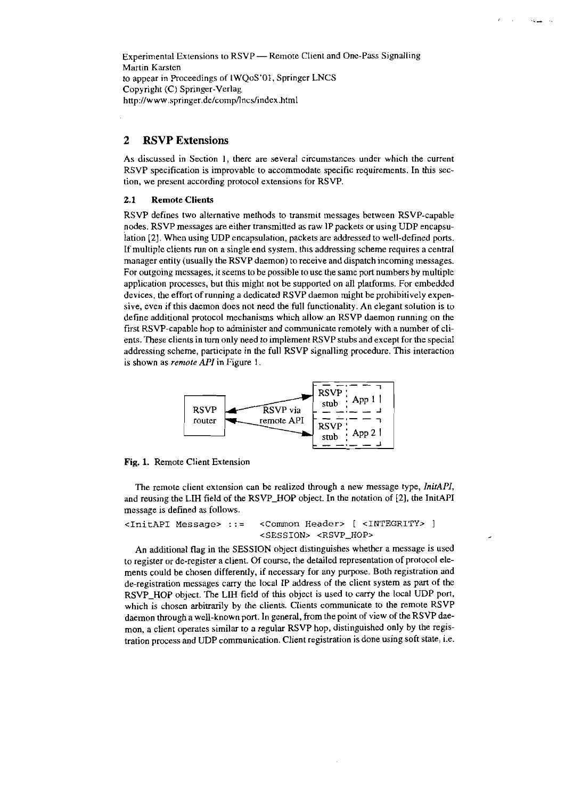Experimental Extensions to RSVP — Remote Client and One-Pass Signalling Martin Karsten to appear in Proceedings of IWQoS'OI, Springer LNCS Copyright (C) Springer-Verlag http://www.springer.de/compllncs/index.html

# **2 RSVP Extensions**

As discussed in Section 1, there are several circumstances under which the current RSVP specification is improvahle to accommodate specific requirements. In this section. we present according protocol extensions for RSVP.

#### 2.1 Remote Clients

RSVP defines two alternative methods to transmit messages hetween RSVP-capable nodes. RSVP messages are either transmitied as raw 1P packets or using UDP encapsulation [2]. When using UDP encapsulation, packets are addressed to well-defined ports. If multiple clients mn on a single end system. this addressing scheme requires a central manager entity (usually the RSVP daemon) to receive and dispatch incoming messages. For outgoing messages, it seems to be possible to use the same port numbers by multiple application processes. hut this might not he supported on all platforms. For embedded devices, the effort of running a dedicated RSVP daemon might be prohibitively expensive, even if this daemon does not need the full functionality. An elegant solution is to defne additional protocol mechanisms which allow an RSVP daemon running on the first RSVP-capahle hop to administer and communicate remotely with a numher of clients. These clients in turn only need to implement RSVP stuhs and except for the Special addressing scheme, participate in the full RSVP signalling procedure. This interaction is shown as *remote API* in Figure 1.





The remole client extension can **be** realized through a new message type, InirAPI, and reusing the LIH field of the RSVP-HOP ohject. In thc notation of **[2].** the InitAPI message is defned as follows.

<InitAPI **Message>** ::= <Common **Header>** [ <INTEGRITY> ] <SESSION> <RSVP\_HOP>

An additional flag in the SESSION object distinguishes whether a message is used to register or de-register a client. Of course, the detailed representation of protocol elements could be chosen differently, if necessary for any purpose. Both registration and de-registration messages cany the local IP address of the client system as part of the RSVP\_HOP object. The LIH field of this object is used to carry the local UDP port, which is chosen arbitrarily by the clients. Clients communicate to the remote RSVP daemon through a well-known port. In general, from the point of view of the RSVP daemon, a client operates similar to a regular RSVP hop, distinguished only by the registration process and UDP communication. Client registration is done using soft state, i.e.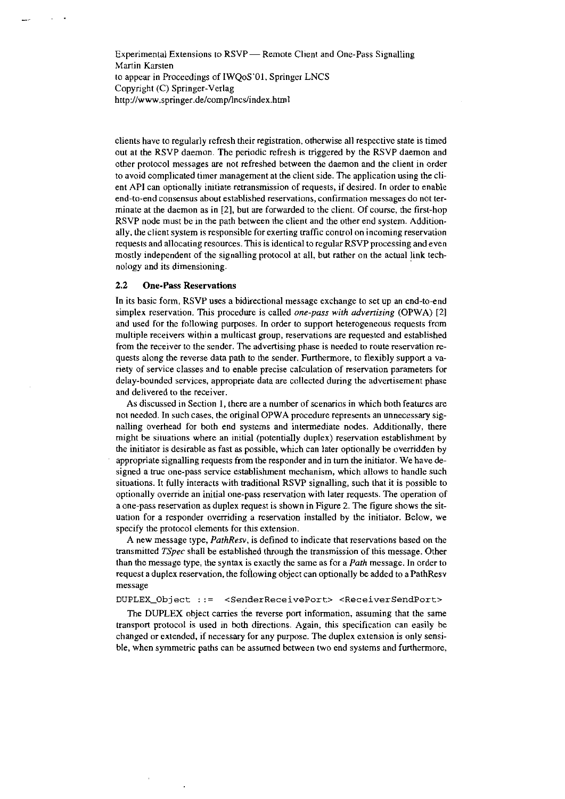Experimental Extensions to RSVP - Remote Client and One-Pass Signalling Mariin Karsten 10 appear in Proceedings of IWQoS'OI, Springer LNCS Copyright (C) Springer-Verlag http://www.springer.de/compAncs/index.html

clients have to regularly refresh their registration, otherwise all respective state is timed out at the RSVP daemon. The periodic refresh is triggered by the RSVP daemon and other protocol messages are not refreshed between the daemon and the client in order to avoid complicated timer management at the client side. The application using the client API can optionally initiate retransmission of requests, if desired. In order to enable end-to-end Consensus about estahlished reservations, confirmation messages do not terminate at the daemon as in [2], but are forwarded to the client. Of coune, the first-hop RSVP node must be in the path between the client and the other end system. Additionally, the client systern is responsible for exerting traffic control on incoming reservation requests and allocating resources. This is identical to regular RSVP processing and even mostly independent of the signalling protocol at all, but rather on the actual link technology and its dimensioning.

#### 2.2 One-Pass Reservations

In its basic form. RSVP uses a bidirectional message exchange to set up an end-10-end simplex reservation. This procedure is called *one-pass* with *advertising* (OPWA) [2] and used for the following purposes. In order to support heterogeneous requests frorn multiple receivers within a multicast group, reservations are requested and established from the receiver to the sender. The advertising phase is needed to route reservation requests along the reverse data path to the sender. Furthermore, ta flexibly support a variety of service classes and to enable precise calculation of reservation parameters for delay-bounded Services, appropriate data are collected during the advertisement phase and delivered to the receiver.

As discussed in Section 1, there are a number of scenarios in which hoth features are not needed. In such cases, the original OPWA procedure represents an unnecessary signalling overhead for hoth end systems and intermediate nodes. Additionally, there might be situations where an initial (potentially duplex) reservation establishment by the initiator is desirahle as fast as possihle, which can later optionally be uvemdden hy appropriate signalling requests from the responder and in turn the initiator. We have designed a true one-pass service establishment mechanism, which allows to handle such situations. It fully interacts with traditional RSVP signalling, such lhat it is possihle to optionally override an initial one-pass reservation with later requests. The operation of a one-pass reservation as duplex request is shown in Figure 2. The figure shows the situation for a responder overriding a reservation installed by the initiator. Below, we specify the protocol elements for this extension.

A new message type, *PathResv*, is defined to indicate that reservations based on the transrnitted *TSpec* shaIl be established through the transmission of tbis message. Other than the message type, the syntax is exactly the same as for a *Path* message. In order to request a duplex reservation, the following object can optionally be added to a PathResv rnessage

**DUPLEX-Object** ::= **<SenderReceivePort> <ReceiverSendPort>** 

The DUPLEX object carries the reverse port information, assuming that the same transport protocol is used in both directions. Again, this specification can easily be changed or extended. if necessary for any purpose. The duplex extension is only sensible, when symmetric paths can be assumed between two end systems and furthermore,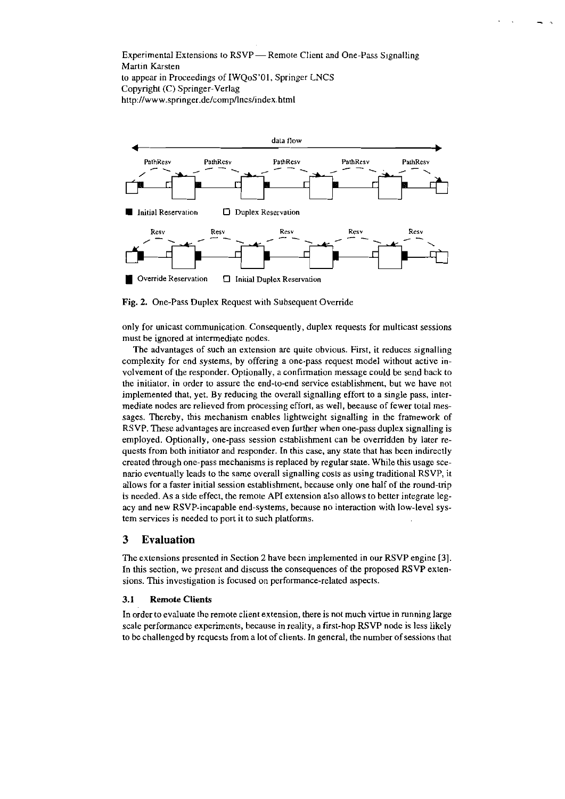Experimental Extensions to RSVP - Remote Client and One-Pass Signalling Martin Karsten to appear in Proceedings of IWQoS'O1, Springer LNCS Copyright (C) Springer-Verlag http://www.springer.de/comp/lncs/index.html



Fig. 2. One-Pass Duplex Request with Subsequent Override

only for unicast communication. Consequently, duplex requests for multicast sessions must be ignored at intermediate nodes.

The advantages of such an extension are quite obvious. First. it reduces signalling complexity for end systems, by offering a one-pass request model without active involvement of the responder. Optionally, aconfimation message could be send back to the initiator, in order to assure the end-to-end service establishment, but we have not implemented that. yet. By reducing the overall signalling effort to a single pass, intermediate nodes are relieved from processing effort, as well. heeause of fewer total messages. Thereby, this mechanism enables lightweight signalling in the framework of RSVP. These advantages are increased even further when one-pass duplex signalling is employed. Optionally, one-pass session establishment can be overridden by later requests from both initiator and responder. In this case, any state that has been indirectly created through one-pass mechanisms is replaced by regular state. While this usage scenario eventually leads to the same overall signalling costs as using traditional RSVP, it allows for a faster initial session establishment, because only one half of the round-trip is needed. As a side effect, the remote API extension also allows to betier integrate legacy and new RSVP-incapable end-systems, because no interaction with low-level system services is needed to portit to such platforms.

# **3 Evaluation**

The extensions presented in Section 2 have been implemented in our RSVP engine **[3].**  In this section, we present and discuss the consequences of the proposed RSVP extensions. This investigation is focused on performance-related aspects.

#### **3.1 Remote Clients**

In order to evaluate the remote client extension, there is not much virtue in running large scale performance experiments, because in reality, a first-hop RSVP node is less likely to **be** challenged by requests from a lot of clients. In general, the number of sessions that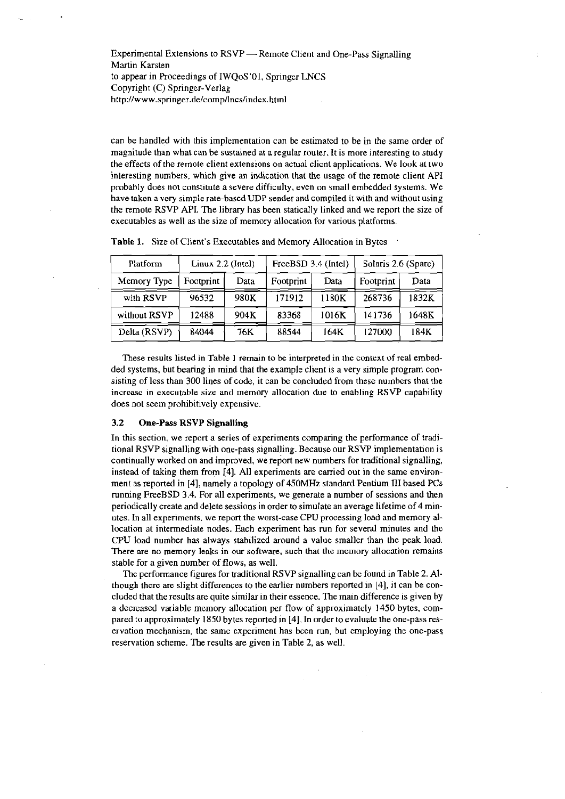Experimental Extensions to RSVP - Remote Client and One-Pass Signalling Martin Karsten to appear in Proceedings of IWQoS'OI, Springer LNCS Copyright (C) Springer-Verlag http://www.springer.de/comp/lncs/index.htrnl

can be handled with this implementaiion can **be** estimated to be in the same order of magnitude than what can be sustained at aregular router. lt is more interesting to study the effects of the remote client extensions on actual clicnt applications. We louk al twu interesting numbers. which give an indication that the usage of the remote client API probably does not constitute a severe difficulty, even on small embedded systems. We have taken a very simple rate-based UDP sender and compiled it with and without using the remote RSVP API. The library has been statically linked and we report the size of executables as well as the size of memory allocation for vanous platforms.

| Platform     | Linux $2.2$ (Intel) |      | FreeBSD 3.4 (Intel) |       | Solaris 2.6 (Sparc) |       |
|--------------|---------------------|------|---------------------|-------|---------------------|-------|
| Memory Type  | Footprint           | Data | Footprint           | Data  | Footprint           | Data  |
| with RSVP    | 96532               | 980K | 171912              | 1180K | 268736              | 1832K |
| without RSVP | 12488               | 904K | 83368               | 1016K | 141736              | 1648K |
| Delta (RSVP) | 84044               | 76K  | 88544               | 164K  | 127000              | 184K  |

Table 1. Size of Client's Executahles and Memory Allocation in Bytes

These results listed in Table 1 remain to be interpreted in the context of real embedded systems, but bearing in mind that the example client is a very simple program consisting of less than 300 lines of code, it can be concluded from these numbers that the incrcasc in executable size **and** memory allocation due to enabling RSVP capability does not seem prohibitively expensive.

#### **3.2 One-Pass** RSVP Signalling

In this section. we report a series of experiments comparing the performance of traditional RSVP signalling with one-pass signalling. Because our RSVP implementation is continually worked on and improved. we report new numbers for traditional signalling, instead of taking them from [4]. All experiments are carried out in the same environment as reported in **[4],** namely **a** topology of 450MHz standard Pentium 111 based PCs tunning FreeBSD **3.4.** For all experiments, we generate a number of sessjons and then periodically create and delete sessions in order to simulate an average lifetime of 4 minutes. In all experiments, we report the worst-case CPU processing load and memory allocation at intermediate nodes. Each experiment has tun for several minutes and the CPU load number has always stabilized around a value smaller than the peak load. There are no memory leaks in our software, such that the memory allocation remains stable for a given number of flows, as well.

Tbe perfomance figures for uaditional RSVP signalling can **be** found in Table **2.** Although there are slight differences to the earlier numbers reported in  $[4]$ , it can be concluded that the results are quite similar in their essence. 'he main difference is given by a decreased variable memory allocation per flow of approximately 1450 bytes, compared to approximately I850 bytes reported in [4]. In order to evaluate the one-pass reservation mechanism, the same experiment has heen tun, but employing the one-pass reservation scheme. Tbe results are given in Table **2,** as well.